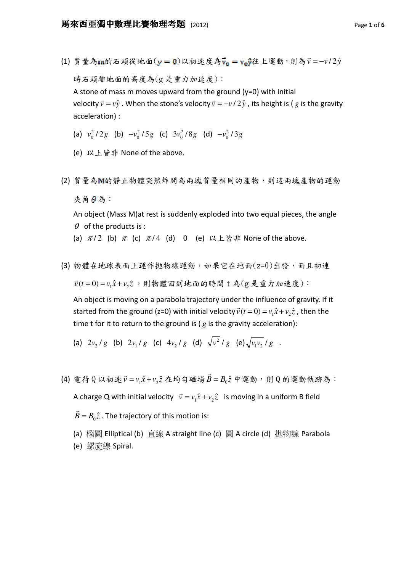- (1) 質量為m的石頭從地面(y = 0)以初速度為v<sub>0</sub> = voy往上運動,則為 $\vec{v}$  = -v/2 $\hat{y}$  $\rightarrow$ 時石頭離地面的高度為(g 是重力加速度): A stone of mass m moves upward from the ground  $(y=0)$  with initial velocity  $\vec{v} = v\hat{y}$  $\overline{\phantom{a}}$ . When the stone's velocity  $\vec{v} = -v/2\hat{y}$ -<br>→ , its height is ( *g* is the gravity acceleration) :
	- (a)  $v_0^2/2g$  (b)  $-v_0^2/5g$  (c)  $3v_0^2/8g$  (d)  $-v_0^2/3g$
	- (e) 以上皆非 None of the above.
- (2) 質量為 的靜止物體突然炸開為兩塊質量相同的產物,則這兩塊產物的運動 夾角 日為:

An object (Mass M)at rest is suddenly exploded into two equal pieces, the angle  $\theta$  of the products is :

(a)  $\pi/2$  (b)  $\pi$  (c)  $\pi/4$  (d) 0 (e) 以上皆非 None of the above.

(3) 物體在地球表面上運作拋物線運動,如果它在地面(z=0)出發,而且初速

 $\vec{v}(t=0) = v_1 \hat{x} + v_2 \hat{z}$ ,則物體回到地面的時間 t 為(g 是重力加速度):

An object is moving on a parabola trajectory under the influence of gravity. If it started from the ground (z=0) with initial velocity  $\vec{v}(t=0) = v_1 \hat{x} + v_2 \hat{z}$  , then the  $\ddot{\phantom{a}}$ time t for it to return to the ground is ( *g* is the gravity acceleration):

(a) 
$$
2v_2/g
$$
 (b)  $2v_1/g$  (c)  $4v_2/g$  (d)  $\sqrt{v^2/g}$  (e)  $\sqrt{v_1v_2/g}$ .

 $(4)$  電荷 Q 以初速  $\vec{v} = v_1 \hat{x} + v_2 \hat{z}$  在均勻磁場  $\vec{B} = B_0 \hat{z}$ 中運動,則Q的運動軌跡為: A charge Q with initial velocity  $\vec{v} = v_1 \hat{x} + v_2 \hat{z}$  $\rightarrow$  is moving in a uniform B field  $\vec{B} = B_0 \hat{z}$  $\rightarrow$ . The trajectory of this motion is:

(a) 橢圓 Elliptical (b) 直線 A straight line (c) 圓 A circle (d) 拋物線 Parabola (e) 螺旋線 Spiral.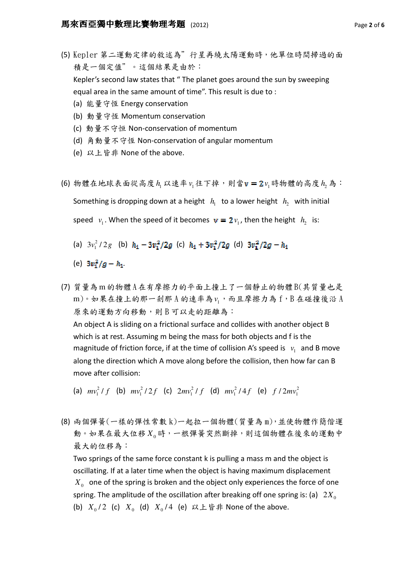- (5) Kepler 第二運動定律的敘述為"行星再繞太陽運動時,他單位時間掃過的面 積是一個定值"。這個結果是由於: Kepler's second law states that " The planet goes around the sun by sweeping equal area in the same amount of time". This result is due to : (a) 能量守恆 Energy conservation
	- (b) 動量守恆 Momentum conservation
	- (c) 動量不守恒 Non-conservation of momentum
	- (d) 角動量不守恆 Non-conservation of angular momentum
	- (e) 以上皆非 None of the above.
- (6) 物體在地球表面從高度 h<sub>1</sub> 以速率 ν<sub>1</sub> 往下掉,則當 **v = 2** ν<sub>1</sub> 時物體的高度 h<sub>2</sub> 為: Something is dropping down at a height  $h_1$  to a lower height  $h_2$  with initial speed  $v_1$ . When the speed of it becomes  $\mathbf{v} = 2v_1$ , then the height  $h_2$  is:
	- (a)  $3v_1^2/2g$  (b)  $h_1 3v_1^2/2g$  (c)  $h_1 + 3v_1^2/2g$  (d)
	- (e)  $3v_1^2/g h_1$ .
- (7) 質量為 m 的物體A 在有摩擦力的平面上撞上了一個靜止的物體 B(其質量也是 m)。如果在撞上的那一剎那 A 的速率為 v<sub>1</sub>,而且摩擦力為 f,B 在碰撞後沿 A 原來的運動方向移動,則 B 可以走的距離為: An object A is sliding on a frictional surface and collides with another object B which is at rest. Assuming m being the mass for both objects and f is the magnitude of friction force, if at the time of collision A's speed is  $v_1$  and B move along the direction which A move along before the collision, then how far can B move after collision:
	- (a)  $mv_1^2/f$  (b)  $mv_1^2/2f$  (c)  $2mv_1^2/f$  (d)  $mv_1^2/4f$  (e)  $f/2mv_1^2$
- (8) 兩個彈簧(一樣的彈性常數 k)一起拉一個物體(質量為 m),並使物體作簡偕運 動。如果在最大位移 X<sub>0</sub>時,一根彈簧突然斷掉,則這個物體在後來的運動中 最大的位移為:

Two springs of the same force constant k is pulling a mass m and the object is oscillating. If at a later time when the object is having maximum displacement  $X_{0}$  one of the spring is broken and the object only experiences the force of one spring. The amplitude of the oscillation after breaking off one spring is: (a)  $2X_{0}$ (b)  $X_0/2$  (c)  $X_0$  (d)  $X_0/4$  (e) 以上皆非 None of the above.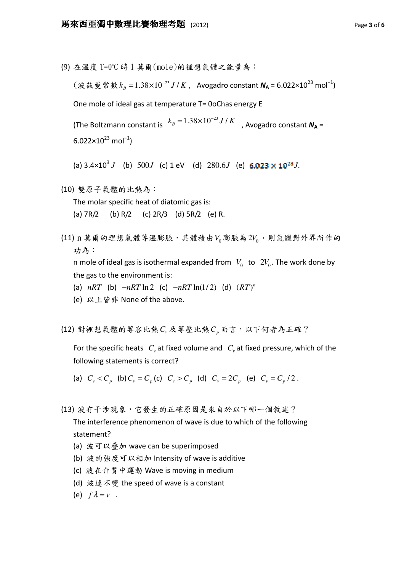(9) 在溫度 T=0℃ 時 1 莫爾(mole)的裡想氣體之能量為:

 $(\text{.}$  滋 曼 常 數  $k_{\textit{\tiny{B}}} = 1.38\times10^{-23}\,J$  /  $K$  ,  $\;$  Avogadro constant  $\textit{\textbf{N}}_{\textsf{A}} = 6.022\times10^{23}$  mol $^{-1})$ 

One mole of ideal gas at temperature T= 0oChas energy E

(The Boltzmann constant is  $k_B = 1.38 \times 10^{-23} J/K$  , Avogadro constant  $N_A =$  $6.022\times10^{23}$  mol<sup>-1</sup>)

(a)  $3.4 \times 10^3 J$  (b)  $500 J$  (c)  $1 \text{ eV}$  (d)  $280.6 J$  (e)  $6.023 \times 10^{23} J$ .

(10) 雙原子氣體的比熱為:

The molar specific heat of diatomic gas is:

- (a)  $7R/2$  (b)  $R/2$  (c)  $2R/3$  (d)  $5R/2$  (e) R.
- (11) n 莫爾的理想氣體等溫膨脹,其體積由 $V_0$ 膨脹為  $2V_0$ ,則氣體對外界所作的 功為:

n mole of ideal gas is isothermal expanded from  $V_0$  to  $2V_0$ . The work done by the gas to the environment is:

- (a)  $nRT$  (b)  $-nRT \ln 2$  (c)  $-nRT \ln(1/2)$  (d)  $(RT)^n$
- (e) 以上皆非 None of the above.
- (12) 對裡想氣體的等容比熱C<sub>v</sub>及等壓比熱C<sub>p</sub>而言,以下何者為正確?

For the specific heats  $C_{\text{v}}$  at fixed volume and  $\left|C_{\text{v}}\right|$  at fixed pressure, which of the following statements is correct?

(a)  $C_v < C_n$  (b)  $C_v = C_n$  (c)  $C_v > C_n$  (d)  $C_v = 2C_n$  (e)  $C_v = C_n / 2$ .

(13) 波有干涉現象,它發生的正確原因是來自於以下哪一個敘述?

The interference phenomenon of wave is due to which of the following statement?

- (a) 波可以疊加 wave can be superimposed
- (b) 波的強度可以相加 Intensity of wave is additive
- (c) 波在介質中運動 Wave is moving in medium
- (d) 波速不變 the speed of wave is a constant
- (e)  $f \lambda = v$ .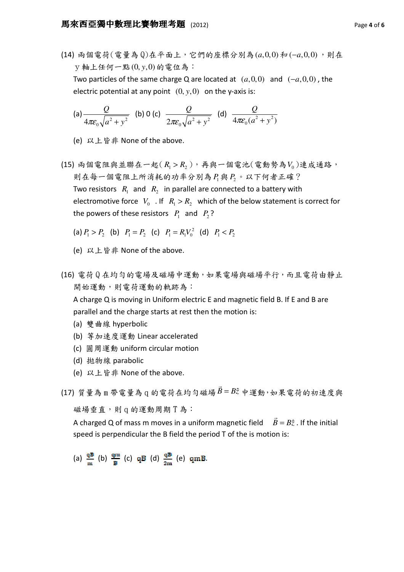(14) 兩個電荷(電量為 0)在平面上,它們的座標分別為(a,0,0) 和(-a,0,0),則在  $\nabla$ 軸上任何一點(0, v,0)的電位為: Two particles of the same charge Q are located at  $(a,0,0)$  and  $(-a,0,0)$ , the electric potential at any point  $(0, y, 0)$  on the y-axis is:

(a) 
$$
\frac{Q}{4\pi\varepsilon_0\sqrt{a^2 + y^2}}
$$
 (b) 0 (c)  $\frac{Q}{2\pi\varepsilon_0\sqrt{a^2 + y^2}}$  (d)  $\frac{Q}{4\pi\varepsilon_0(a^2 + y^2)}$ 

(e) 以上皆非 None of the above.

- (15) 兩個電阻與並聯在一起 $(R_{\text{l}} > R_{\text{2}})$ ,再與一個電池(電動勢為 $V_{\text{0}}$ )連成通路, 則在每一個電阻上所消耗的功率分別為 P1與 P2。以下何者正確? Two resistors  $\ R_1$  and  $\ R_2$  in parallel are connected to a battery with electromotive force  $V_0$  . If  $R_1 > R_2$  which of the below statement is correct for the powers of these resistors  $P_1$  and  $P_2$ ?
	- (a)  $P_1 > P_2$  (b)  $P_1 = P_2$  (c)  $P_1 = R_1 V_0^2$  (d)  $P_1 < P_2$
	- (e) 以上皆非 None of the above.
- (16) 電荷 Q 在均勻的電場及磁場中運動,如果電場與磁場平行,而且電荷由靜止 開始運動,則電荷運動的軌跡為:

A charge Q is moving in Uniform electric E and magnetic field B. If E and B are parallel and the charge starts at rest then the motion is:

- (a) 雙曲線 hyperbolic
- (b) 等加速度運動 Linear accelerated
- (c) 圓周運動 uniform circular motion
- (d) 拋物線 parabolic
- (e) 以上皆非 None of the above.
- (17) 質量為 m 帶電量為 q 的電荷在均勻磁場  $\vec{B} = B\hat{z}$ 中運動,如果電荷的初速度與

 $\rightarrow$ 

 $\rightarrow$ 

磁場垂直,則 q 的運動周期 T 為:

A charged Q of mass m moves in a uniform magnetic field  $\overline{B} = B\hat{z}$ . If the initial speed is perpendicular the B field the period T of the is motion is:

(a)  $\frac{qB}{m}$  (b)  $\frac{qm}{p}$  (c)  $qB$  (d)  $\frac{qB}{2m}$  (e)  $qmB$ .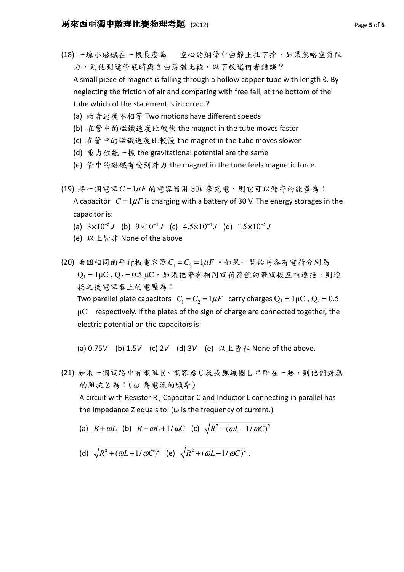(18) 一塊小磁鐵在一根長度為 空心的銅管中由靜止往下掉,如果忽略空氣阻 力,則他到達管底時與自由落體比較,以下敘述何者錯誤?

A small piece of magnet is falling through a hollow copper tube with length ℓ. By neglecting the friction of air and comparing with free fall, at the bottom of the tube which of the statement is incorrect?

- (a) 兩者速度不相等 Two motions have different speeds
- (b) 在管中的磁鐵速度比較快 the magnet in the tube moves faster
- (c) 在管中的磁鐵速度比較慢 the magnet in the tube moves slower
- (d) 重力位能一樣 the gravitational potential are the same
- (e) 管中的磁鐵有受到外力 the magnet in the tune feels magnetic force.

 $(19)$  將一個電容 $C = 1 \mu F$  的電容器用  $30V$  來充電, 則它可以儲存的能量為: A capacitor  $C = 1 \mu F$  is charging with a battery of 30 V. The energy storages in the capacitor is:

- (a)  $3 \times 10^{-5} J$  (b)  $9 \times 10^{-4} J$  (c)  $4.5 \times 10^{-4} J$  (d)  $1.5 \times 10^{-5} J$
- (e) 以上皆非 None of the above

 $(20)$  兩個相同的平行板電容器 $C_1 = C_2 = 1 \mu F$ 。如果一開始時各有電荷分別為  $Q_1 = 1 \mu C$ ,  $Q_2 = 0.5 \mu C$ , 如果把帶有相同電荷符號的帶電板互相連接,則連 接之後電容器上的電壓為: Two parellel plate capacitors  $C_1 = C_2 = 1 \mu F$  carry charges  $Q_1 = 1 \mu C$ ,  $Q_2 = 0.5$  $\mu$ C respectively. If the plates of the sign of charge are connected together, the electric potential on the capacitors is:

(a) 0.75V (b) 1.5V (c) 2V (d) 3V (e) 以上皆非 None of the above.

(21) 如果一個電路中有電阻 R、電容器 C 及感應線圈 L 串聯在一起,則他們對應 的阻抗 Z 為:(ω 為電流的頻率)

A circuit with Resistor R , Capacitor C and Inductor L connecting in parallel has the Impedance Z equals to: ( $\omega$  is the frequency of current.)

- (a)  $R + \omega L$  (b)  $R \omega L + 1/\omega C$  (c)  $\sqrt{R^2 (\omega L 1/\omega C)^2}$
- (d)  $\sqrt{R^2 + (\omega L + 1/\omega C)^2}$  (e)  $\sqrt{R^2 + (\omega L 1/\omega C)^2}$ .